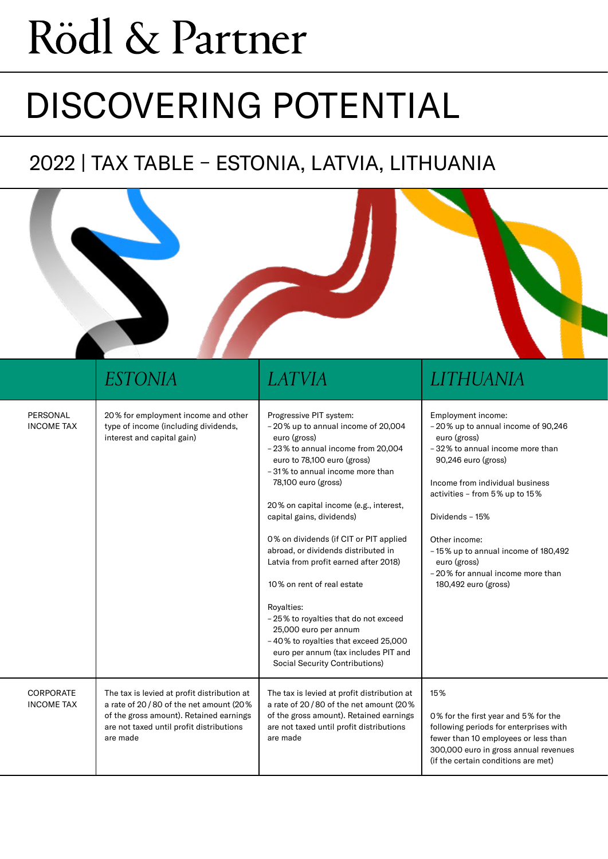# Rödl & Partner

## DISCOVERING POTENTIAL

## 2022 | TAX TABLE – ESTONIA, LATVIA, LITHUANIA

|                                | <i>ESTONIA</i>                                                                                                                                                                           | <i>LATVIA</i>                                                                                                                                                                                                                                                                                                                                                                                                                                                                                                                                                                                                                                | LITHUANIA                                                                                                                                                                                                                                                                                                                                                       |
|--------------------------------|------------------------------------------------------------------------------------------------------------------------------------------------------------------------------------------|----------------------------------------------------------------------------------------------------------------------------------------------------------------------------------------------------------------------------------------------------------------------------------------------------------------------------------------------------------------------------------------------------------------------------------------------------------------------------------------------------------------------------------------------------------------------------------------------------------------------------------------------|-----------------------------------------------------------------------------------------------------------------------------------------------------------------------------------------------------------------------------------------------------------------------------------------------------------------------------------------------------------------|
| PERSONAL<br><b>INCOME TAX</b>  | 20% for employment income and other<br>type of income (including dividends,<br>interest and capital gain)                                                                                | Progressive PIT system:<br>-20% up to annual income of 20,004<br>euro (gross)<br>-23% to annual income from 20,004<br>euro to 78,100 euro (gross)<br>-31% to annual income more than<br>78,100 euro (gross)<br>20% on capital income (e.g., interest,<br>capital gains, dividends)<br>0% on dividends (if CIT or PIT applied<br>abroad, or dividends distributed in<br>Latvia from profit earned after 2018)<br>10% on rent of real estate<br>Royalties:<br>- 25% to royalties that do not exceed<br>25,000 euro per annum<br>-40% to royalties that exceed 25,000<br>euro per annum (tax includes PIT and<br>Social Security Contributions) | Employment income:<br>-20% up to annual income of 90,246<br>euro (gross)<br>-32% to annual income more than<br>90,246 euro (gross)<br>Income from individual business<br>activities - from 5% up to 15%<br>Dividends - 15%<br>Other income:<br>-15% up to annual income of 180,492<br>euro (gross)<br>- 20% for annual income more than<br>180,492 euro (gross) |
| CORPORATE<br><b>INCOME TAX</b> | The tax is levied at profit distribution at<br>a rate of 20/80 of the net amount (20%<br>of the gross amount). Retained earnings<br>are not taxed until profit distributions<br>are made | The tax is levied at profit distribution at<br>a rate of 20/80 of the net amount (20%<br>of the gross amount). Retained earnings<br>are not taxed until profit distributions<br>are made                                                                                                                                                                                                                                                                                                                                                                                                                                                     | 15%<br>0% for the first year and 5% for the<br>following periods for enterprises with<br>fewer than 10 employees or less than<br>300,000 euro in gross annual revenues<br>(if the certain conditions are met)                                                                                                                                                   |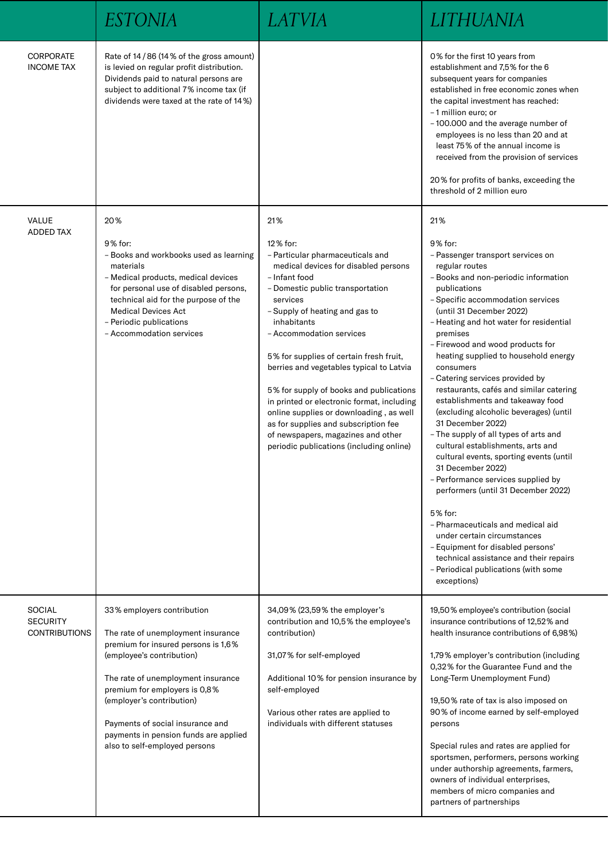|                                                          | <i>ESTONIA</i>                                                                                                                                                                                                                                                                                                                                         |                                                                                                                                                                                                                                                                                                                                                                                                                                                                                                                                                                                                | LITHUANIA                                                                                                                                                                                                                                                                                                                                                                                                                                                                                                                                                                                                                                                                                                                                                                                                                                                                                                                                                                       |
|----------------------------------------------------------|--------------------------------------------------------------------------------------------------------------------------------------------------------------------------------------------------------------------------------------------------------------------------------------------------------------------------------------------------------|------------------------------------------------------------------------------------------------------------------------------------------------------------------------------------------------------------------------------------------------------------------------------------------------------------------------------------------------------------------------------------------------------------------------------------------------------------------------------------------------------------------------------------------------------------------------------------------------|---------------------------------------------------------------------------------------------------------------------------------------------------------------------------------------------------------------------------------------------------------------------------------------------------------------------------------------------------------------------------------------------------------------------------------------------------------------------------------------------------------------------------------------------------------------------------------------------------------------------------------------------------------------------------------------------------------------------------------------------------------------------------------------------------------------------------------------------------------------------------------------------------------------------------------------------------------------------------------|
| <b>CORPORATE</b><br><b>INCOME TAX</b>                    | Rate of 14/86 (14% of the gross amount)<br>is levied on regular profit distribution.<br>Dividends paid to natural persons are<br>subject to additional 7% income tax (if<br>dividends were taxed at the rate of 14%)                                                                                                                                   |                                                                                                                                                                                                                                                                                                                                                                                                                                                                                                                                                                                                | 0% for the first 10 years from<br>establishment and 7,5% for the 6<br>subsequent years for companies<br>established in free economic zones when<br>the capital investment has reached:<br>-1 million euro; or<br>-100.000 and the average number of<br>employees is no less than 20 and at<br>least 75% of the annual income is<br>received from the provision of services<br>20% for profits of banks, exceeding the<br>threshold of 2 million euro                                                                                                                                                                                                                                                                                                                                                                                                                                                                                                                            |
| VALUE<br><b>ADDED TAX</b>                                | 20%<br>9% for:<br>- Books and workbooks used as learning<br>materials<br>- Medical products, medical devices<br>for personal use of disabled persons,<br>technical aid for the purpose of the<br><b>Medical Devices Act</b><br>- Periodic publications<br>- Accommodation services                                                                     | 21%<br>12% for:<br>- Particular pharmaceuticals and<br>medical devices for disabled persons<br>- Infant food<br>- Domestic public transportation<br>services<br>- Supply of heating and gas to<br>inhabitants<br>- Accommodation services<br>5% for supplies of certain fresh fruit,<br>berries and vegetables typical to Latvia<br>5% for supply of books and publications<br>in printed or electronic format, including<br>online supplies or downloading, as well<br>as for supplies and subscription fee<br>of newspapers, magazines and other<br>periodic publications (including online) | 21%<br>9% for:<br>- Passenger transport services on<br>regular routes<br>- Books and non-periodic information<br>publications<br>- Specific accommodation services<br>(until 31 December 2022)<br>- Heating and hot water for residential<br>premises<br>- Firewood and wood products for<br>heating supplied to household energy<br>consumers<br>- Catering services provided by<br>restaurants, cafés and similar catering<br>establishments and takeaway food<br>(excluding alcoholic beverages) (until<br>31 December 2022)<br>- The supply of all types of arts and<br>cultural establishments, arts and<br>cultural events, sporting events (until<br>31 December 2022)<br>- Performance services supplied by<br>performers (until 31 December 2022)<br>5% for:<br>- Pharmaceuticals and medical aid<br>under certain circumstances<br>- Equipment for disabled persons'<br>technical assistance and their repairs<br>- Periodical publications (with some<br>exceptions) |
| <b>SOCIAL</b><br><b>SECURITY</b><br><b>CONTRIBUTIONS</b> | 33% employers contribution<br>The rate of unemployment insurance<br>premium for insured persons is 1,6%<br>(employee's contribution)<br>The rate of unemployment insurance<br>premium for employers is 0,8%<br>(employer's contribution)<br>Payments of social insurance and<br>payments in pension funds are applied<br>also to self-employed persons | 34,09% (23,59% the employer's<br>contribution and 10,5% the employee's<br>contribution)<br>31,07% for self-employed<br>Additional 10% for pension insurance by<br>self-employed<br>Various other rates are applied to<br>individuals with different statuses                                                                                                                                                                                                                                                                                                                                   | 19,50% employee's contribution (social<br>insurance contributions of 12,52% and<br>health insurance contributions of 6,98%)<br>1,79% employer's contribution (including<br>0,32% for the Guarantee Fund and the<br>Long-Term Unemployment Fund)<br>19,50% rate of tax is also imposed on<br>90% of income earned by self-employed<br>persons<br>Special rules and rates are applied for<br>sportsmen, performers, persons working<br>under authorship agreements, farmers,<br>owners of individual enterprises,<br>members of micro companies and<br>partners of partnerships                                                                                                                                                                                                                                                                                                                                                                                                   |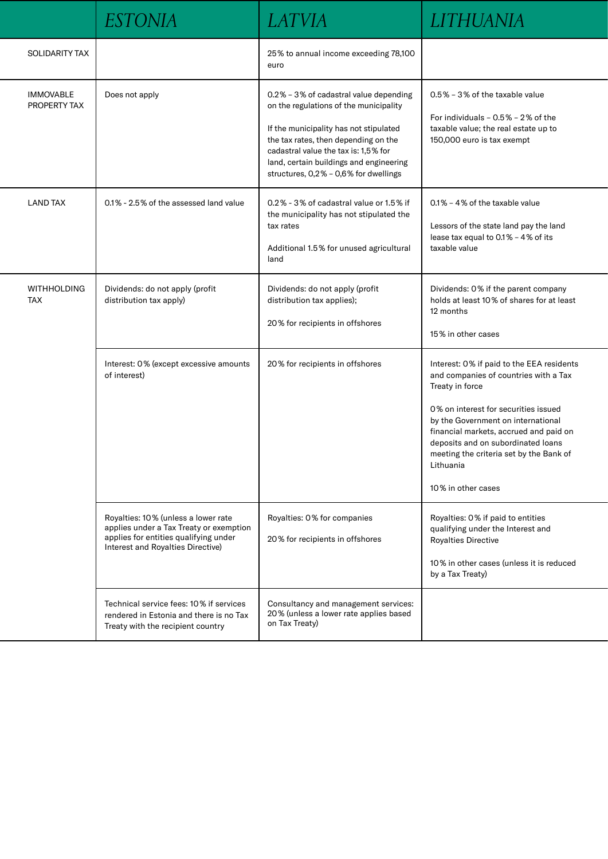|                                  | <b>ESTONIA</b>                                                                                                                                               | <i>LATVIA</i>                                                                                                                                                                                                                                                                                  | LITHUANIA                                                                                                                                                                                                                                                                                                                                         |
|----------------------------------|--------------------------------------------------------------------------------------------------------------------------------------------------------------|------------------------------------------------------------------------------------------------------------------------------------------------------------------------------------------------------------------------------------------------------------------------------------------------|---------------------------------------------------------------------------------------------------------------------------------------------------------------------------------------------------------------------------------------------------------------------------------------------------------------------------------------------------|
| SOLIDARITY TAX                   |                                                                                                                                                              | 25% to annual income exceeding 78,100<br>euro                                                                                                                                                                                                                                                  |                                                                                                                                                                                                                                                                                                                                                   |
| <b>IMMOVABLE</b><br>PROPERTY TAX | Does not apply                                                                                                                                               | 0.2% - 3% of cadastral value depending<br>on the regulations of the municipality<br>If the municipality has not stipulated<br>the tax rates, then depending on the<br>cadastral value the tax is: 1,5% for<br>land, certain buildings and engineering<br>structures, 0,2% - 0,6% for dwellings | 0.5% - 3% of the taxable value<br>For individuals $-0.5\% - 2\%$ of the<br>taxable value; the real estate up to<br>150,000 euro is tax exempt                                                                                                                                                                                                     |
| <b>LAND TAX</b>                  | 0.1% - 2.5% of the assessed land value                                                                                                                       | 0.2% - 3% of cadastral value or 1.5% if<br>the municipality has not stipulated the<br>tax rates<br>Additional 1.5% for unused agricultural<br>land                                                                                                                                             | 0.1% - 4% of the taxable value<br>Lessors of the state land pay the land<br>lease tax equal to 0.1% - 4% of its<br>taxable value                                                                                                                                                                                                                  |
| <b>WITHHOLDING</b><br><b>TAX</b> | Dividends: do not apply (profit<br>distribution tax apply)                                                                                                   | Dividends: do not apply (profit<br>distribution tax applies);<br>20% for recipients in offshores                                                                                                                                                                                               | Dividends: 0% if the parent company<br>holds at least 10% of shares for at least<br>12 months<br>15% in other cases                                                                                                                                                                                                                               |
|                                  | Interest: 0% (except excessive amounts<br>of interest)                                                                                                       | 20% for recipients in offshores                                                                                                                                                                                                                                                                | Interest: 0% if paid to the EEA residents<br>and companies of countries with a Tax<br>Treaty in force<br>0% on interest for securities issued<br>by the Government on international<br>financial markets, accrued and paid on<br>deposits and on subordinated loans<br>meeting the criteria set by the Bank of<br>Lithuania<br>10% in other cases |
|                                  | Royalties: 10% (unless a lower rate<br>applies under a Tax Treaty or exemption<br>applies for entities qualifying under<br>Interest and Royalties Directive) | Royalties: 0% for companies<br>20% for recipients in offshores                                                                                                                                                                                                                                 | Royalties: 0% if paid to entities<br>qualifying under the Interest and<br>Royalties Directive<br>10% in other cases (unless it is reduced<br>by a Tax Treaty)                                                                                                                                                                                     |
|                                  | Technical service fees: 10% if services<br>rendered in Estonia and there is no Tax<br>Treaty with the recipient country                                      | Consultancy and management services:<br>20% (unless a lower rate applies based<br>on Tax Treaty)                                                                                                                                                                                               |                                                                                                                                                                                                                                                                                                                                                   |